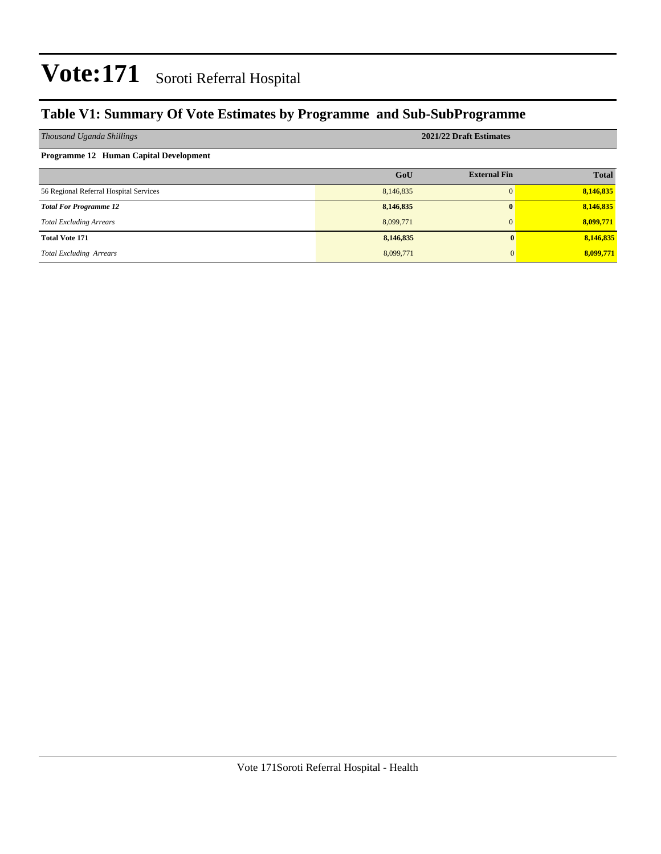### **Table V1: Summary Of Vote Estimates by Programme and Sub-SubProgramme**

| Thousand Uganda Shillings              | 2021/22 Draft Estimates |                     |              |  |  |  |  |  |
|----------------------------------------|-------------------------|---------------------|--------------|--|--|--|--|--|
| Programme 12 Human Capital Development |                         |                     |              |  |  |  |  |  |
|                                        | GoU                     | <b>External Fin</b> | <b>Total</b> |  |  |  |  |  |
| 56 Regional Referral Hospital Services | 8,146,835               | $\Omega$            | 8,146,835    |  |  |  |  |  |
| <b>Total For Programme 12</b>          | 8,146,835               | $\bf{0}$            | 8,146,835    |  |  |  |  |  |
| <b>Total Excluding Arrears</b>         | 8,099,771               | $\Omega$            | 8,099,771    |  |  |  |  |  |
| <b>Total Vote 171</b>                  | 8,146,835               |                     | 8,146,835    |  |  |  |  |  |
| <b>Total Excluding Arrears</b>         | 8,099,771               |                     | 8,099,771    |  |  |  |  |  |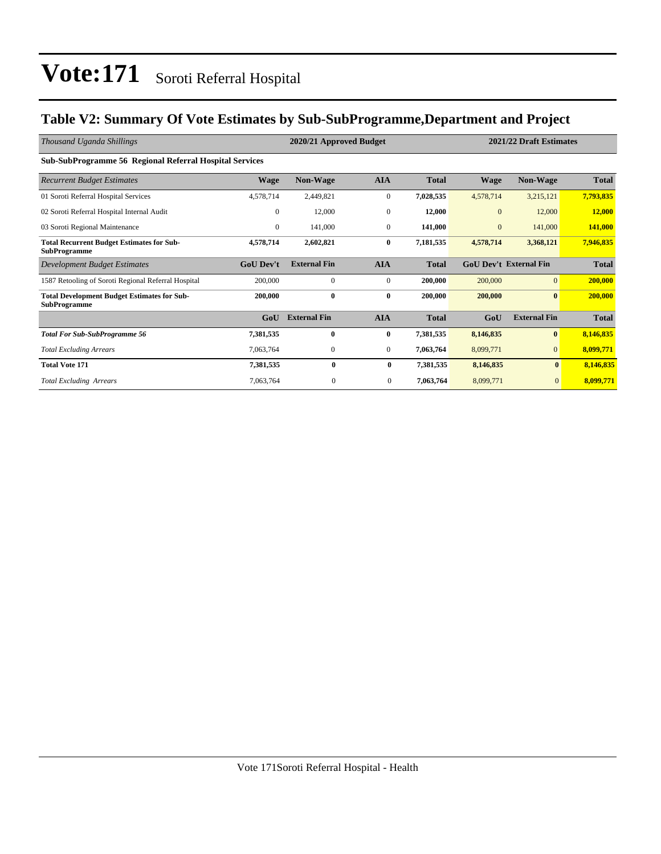### **Table V2: Summary Of Vote Estimates by Sub-SubProgramme,Department and Project**

| Thousand Uganda Shillings                                                 |                  | 2020/21 Approved Budget |                  | 2021/22 Draft Estimates |              |                               |              |
|---------------------------------------------------------------------------|------------------|-------------------------|------------------|-------------------------|--------------|-------------------------------|--------------|
| <b>Sub-SubProgramme 56 Regional Referral Hospital Services</b>            |                  |                         |                  |                         |              |                               |              |
| <b>Recurrent Budget Estimates</b>                                         | <b>Wage</b>      | <b>Non-Wage</b>         | <b>AIA</b>       | <b>Total</b>            | <b>Wage</b>  | <b>Non-Wage</b>               | <b>Total</b> |
| 01 Soroti Referral Hospital Services                                      | 4,578,714        | 2,449,821               | $\boldsymbol{0}$ | 7,028,535               | 4,578,714    | 3,215,121                     | 7,793,835    |
| 02 Soroti Referral Hospital Internal Audit                                | $\mathbf{0}$     | 12,000                  | $\mathbf{0}$     | 12,000                  | $\mathbf{0}$ | 12,000                        | 12,000       |
| 03 Soroti Regional Maintenance                                            | $\overline{0}$   | 141,000                 | $\mathbf{0}$     | 141,000                 | $\mathbf{0}$ | 141,000                       | 141,000      |
| <b>Total Recurrent Budget Estimates for Sub-</b><br><b>SubProgramme</b>   | 4,578,714        | 2,602,821               | $\bf{0}$         | 7,181,535               | 4,578,714    | 3,368,121                     | 7,946,835    |
| Development Budget Estimates                                              | <b>GoU Dev't</b> | <b>External Fin</b>     | <b>AIA</b>       | <b>Total</b>            |              | <b>GoU Dev't External Fin</b> | <b>Total</b> |
| 1587 Retooling of Soroti Regional Referral Hospital                       | 200,000          | $\mathbf{0}$            | $\mathbf{0}$     | 200,000                 | 200,000      | $\overline{0}$                | 200,000      |
| <b>Total Development Budget Estimates for Sub-</b><br><b>SubProgramme</b> | 200,000          | $\bf{0}$                | $\bf{0}$         | 200,000                 | 200,000      | $\mathbf{0}$                  | 200,000      |
|                                                                           | GoU              | <b>External Fin</b>     | <b>AIA</b>       | <b>Total</b>            | GoU          | <b>External Fin</b>           | <b>Total</b> |
| <b>Total For Sub-SubProgramme 56</b>                                      | 7,381,535        | 0                       | $\bf{0}$         | 7,381,535               | 8,146,835    | $\bf{0}$                      | 8,146,835    |
| <b>Total Excluding Arrears</b>                                            | 7,063,764        | $\mathbf{0}$            | $\overline{0}$   | 7,063,764               | 8,099,771    | $\mathbf{0}$                  | 8,099,771    |
| <b>Total Vote 171</b>                                                     | 7,381,535        | $\bf{0}$                | $\bf{0}$         | 7,381,535               | 8,146,835    | $\bf{0}$                      | 8,146,835    |
| <b>Total Excluding Arrears</b>                                            | 7,063,764        | $\mathbf{0}$            | $\mathbf{0}$     | 7,063,764               | 8,099,771    | $\mathbf{0}$                  | 8,099,771    |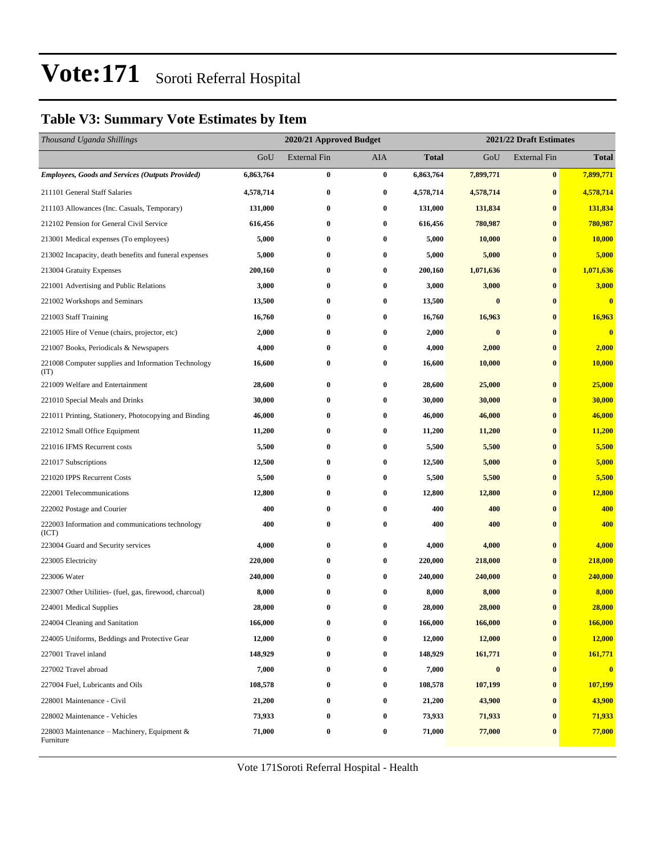### **Table V3: Summary Vote Estimates by Item**

| Thousand Uganda Shillings                                   |           | 2020/21 Approved Budget<br>2021/22 Draft Estimates |                  |              |                  |                     |                         |
|-------------------------------------------------------------|-----------|----------------------------------------------------|------------------|--------------|------------------|---------------------|-------------------------|
|                                                             | GoU       | <b>External Fin</b>                                | <b>AIA</b>       | <b>Total</b> | GoU              | <b>External Fin</b> | <b>Total</b>            |
| <b>Employees, Goods and Services (Outputs Provided)</b>     | 6,863,764 | $\bf{0}$                                           | $\bf{0}$         | 6,863,764    | 7,899,771        | $\bf{0}$            | 7,899,771               |
| 211101 General Staff Salaries                               | 4,578,714 | $\bf{0}$                                           | 0                | 4,578,714    | 4,578,714        | $\bf{0}$            | 4,578,714               |
| 211103 Allowances (Inc. Casuals, Temporary)                 | 131,000   | $\bf{0}$                                           | $\bf{0}$         | 131,000      | 131,834          | $\bf{0}$            | 131,834                 |
| 212102 Pension for General Civil Service                    | 616,456   | $\bf{0}$                                           | $\bf{0}$         | 616,456      | 780,987          | $\bf{0}$            | 780,987                 |
| 213001 Medical expenses (To employees)                      | 5,000     | $\bf{0}$                                           | 0                | 5,000        | 10,000           | $\bf{0}$            | <b>10,000</b>           |
| 213002 Incapacity, death benefits and funeral expenses      | 5,000     | $\bf{0}$                                           | $\bf{0}$         | 5,000        | 5,000            | $\bf{0}$            | 5,000                   |
| 213004 Gratuity Expenses                                    | 200,160   | $\bf{0}$                                           | 0                | 200,160      | 1,071,636        | $\bf{0}$            | 1,071,636               |
| 221001 Advertising and Public Relations                     | 3,000     | $\bf{0}$                                           | $\bf{0}$         | 3,000        | 3,000            | $\bf{0}$            | 3,000                   |
| 221002 Workshops and Seminars                               | 13,500    | $\bf{0}$                                           | $\bf{0}$         | 13,500       | $\bf{0}$         | $\bf{0}$            | $\bf{0}$                |
| 221003 Staff Training                                       | 16,760    | $\bf{0}$                                           | 0                | 16,760       | 16,963           | $\bf{0}$            | 16,963                  |
| 221005 Hire of Venue (chairs, projector, etc)               | 2,000     | $\bf{0}$                                           | $\bf{0}$         | 2,000        | $\bf{0}$         | $\bf{0}$            | $\overline{\mathbf{0}}$ |
| 221007 Books, Periodicals & Newspapers                      | 4,000     | $\bf{0}$                                           | 0                | 4,000        | 2,000            | $\bf{0}$            | 2,000                   |
| 221008 Computer supplies and Information Technology<br>(TT) | 16,600    | $\bf{0}$                                           | $\bf{0}$         | 16,600       | 10,000           | $\bf{0}$            | 10,000                  |
| 221009 Welfare and Entertainment                            | 28,600    | $\bf{0}$                                           | $\bf{0}$         | 28,600       | 25,000           | $\bf{0}$            | 25,000                  |
| 221010 Special Meals and Drinks                             | 30,000    | $\bf{0}$                                           | 0                | 30,000       | 30,000           | $\bf{0}$            | 30,000                  |
| 221011 Printing, Stationery, Photocopying and Binding       | 46,000    | $\bf{0}$                                           | $\bf{0}$         | 46,000       | 46,000           | $\bf{0}$            | 46,000                  |
| 221012 Small Office Equipment                               | 11,200    | $\bf{0}$                                           | 0                | 11,200       | 11,200           | $\bf{0}$            | 11,200                  |
| 221016 IFMS Recurrent costs                                 | 5,500     | $\bf{0}$                                           | 0                | 5,500        | 5,500            | $\bf{0}$            | 5,500                   |
| 221017 Subscriptions                                        | 12,500    | $\bf{0}$                                           | $\bf{0}$         | 12,500       | 5,000            | $\bf{0}$            | 5,000                   |
| 221020 IPPS Recurrent Costs                                 | 5,500     | $\bf{0}$                                           | 0                | 5,500        | 5,500            | $\bf{0}$            | 5,500                   |
| 222001 Telecommunications                                   | 12,800    | $\bf{0}$                                           | $\bf{0}$         | 12,800       | 12,800           | $\bf{0}$            | 12,800                  |
| 222002 Postage and Courier                                  | 400       | $\bf{0}$                                           | $\bf{0}$         | 400          | 400              | $\bf{0}$            | 400                     |
| 222003 Information and communications technology<br>(ICT)   | 400       | $\bf{0}$                                           | 0                | 400          | 400              | $\bf{0}$            | 400                     |
| 223004 Guard and Security services                          | 4,000     | $\bf{0}$                                           | 0                | 4,000        | 4,000            | $\bf{0}$            | 4,000                   |
| 223005 Electricity                                          | 220,000   | $\bf{0}$                                           | $\bf{0}$         | 220,000      | 218,000          | $\bf{0}$            | 218,000                 |
| 223006 Water                                                | 240,000   | $\bf{0}$                                           | $\bf{0}$         | 240,000      | 240,000          | $\bf{0}$            | 240,000                 |
| 223007 Other Utilities- (fuel, gas, firewood, charcoal)     | 8,000     | $\bf{0}$                                           | $\bf{0}$         | 8,000        | 8,000            | $\bf{0}$            | 8,000                   |
| 224001 Medical Supplies                                     | 28,000    | $\bf{0}$                                           | $\bf{0}$         | 28,000       | 28,000           | $\bf{0}$            | 28,000                  |
| 224004 Cleaning and Sanitation                              | 166,000   | $\bf{0}$                                           | $\bf{0}$         | 166,000      | 166,000          | $\bf{0}$            | 166,000                 |
| 224005 Uniforms, Beddings and Protective Gear               | 12,000    | $\bf{0}$                                           | 0                | 12,000       | 12,000           | $\bf{0}$            | 12,000                  |
| 227001 Travel inland                                        | 148,929   | $\bf{0}$                                           | $\bf{0}$         | 148,929      | 161,771          | $\bf{0}$            | 161,771                 |
| 227002 Travel abroad                                        | 7,000     | $\bf{0}$                                           | $\bf{0}$         | 7,000        | $\boldsymbol{0}$ | $\bf{0}$            | $\bf{0}$                |
| 227004 Fuel, Lubricants and Oils                            | 108,578   | $\bf{0}$                                           | $\boldsymbol{0}$ | 108,578      | 107,199          | $\bf{0}$            | 107,199                 |
| 228001 Maintenance - Civil                                  | 21,200    | $\bf{0}$                                           | $\bf{0}$         | 21,200       | 43,900           | $\bf{0}$            | 43,900                  |
| 228002 Maintenance - Vehicles                               | 73,933    | $\bf{0}$                                           | $\bf{0}$         | 73,933       | 71,933           | $\bf{0}$            | 71,933                  |
| 228003 Maintenance - Machinery, Equipment &<br>Furniture    | 71,000    | $\bf{0}$                                           | $\bf{0}$         | 71,000       | 77,000           | $\bf{0}$            | 77,000                  |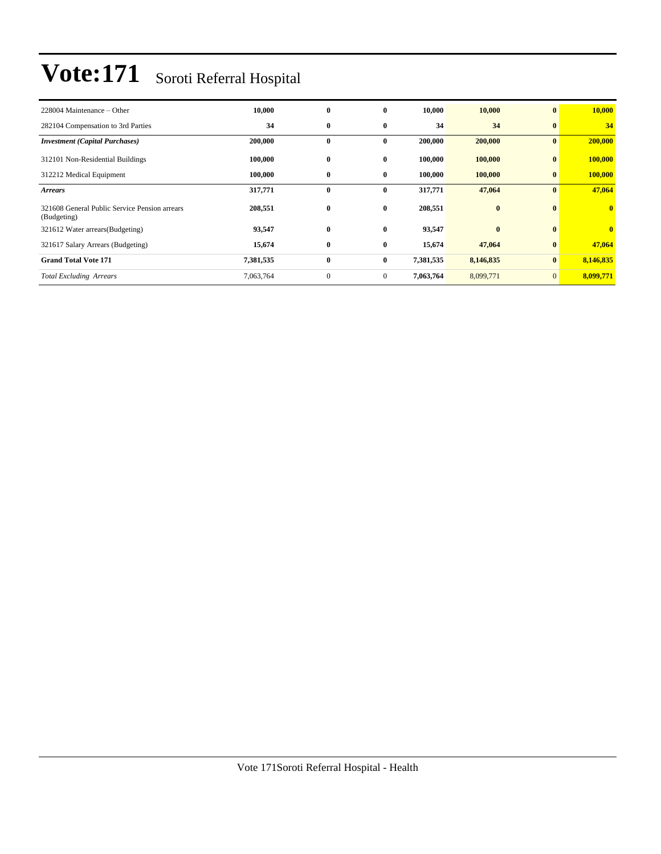| 228004 Maintenance – Other                                   | 10,000    | $\bf{0}$     | $\mathbf{0}$   | 10,000    | 10,000    | $\bf{0}$       | 10,000                  |
|--------------------------------------------------------------|-----------|--------------|----------------|-----------|-----------|----------------|-------------------------|
| 282104 Compensation to 3rd Parties                           | 34        | $\bf{0}$     | $\bf{0}$       | 34        | 34        | $\bf{0}$       | 34                      |
| <b>Investment</b> (Capital Purchases)                        | 200,000   | $\bf{0}$     | $\bf{0}$       | 200,000   | 200,000   | $\bf{0}$       | 200,000                 |
| 312101 Non-Residential Buildings                             | 100,000   | $\bf{0}$     | $\bf{0}$       | 100,000   | 100,000   | $\bf{0}$       | 100,000                 |
| 312212 Medical Equipment                                     | 100,000   | $\bf{0}$     | $\bf{0}$       | 100,000   | 100,000   | $\bf{0}$       | 100,000                 |
| <b>Arrears</b>                                               | 317,771   | $\bf{0}$     | $\bf{0}$       | 317,771   | 47,064    | $\bf{0}$       | 47,064                  |
| 321608 General Public Service Pension arrears<br>(Budgeting) | 208,551   | $\bf{0}$     | $\bf{0}$       | 208,551   | $\bf{0}$  | $\mathbf{0}$   | $\overline{\mathbf{0}}$ |
| 321612 Water arrears (Budgeting)                             | 93,547    | $\bf{0}$     | $\bf{0}$       | 93,547    | $\bf{0}$  | $\bf{0}$       | $\mathbf{0}$            |
| 321617 Salary Arrears (Budgeting)                            | 15,674    | $\bf{0}$     | $\bf{0}$       | 15,674    | 47,064    | $\bf{0}$       | 47,064                  |
| <b>Grand Total Vote 171</b>                                  | 7,381,535 | $\bf{0}$     | $\bf{0}$       | 7,381,535 | 8,146,835 | $\mathbf{0}$   | 8,146,835               |
| <b>Total Excluding Arrears</b>                               | 7,063,764 | $\mathbf{0}$ | $\overline{0}$ | 7,063,764 | 8,099,771 | $\overline{0}$ | 8,099,771               |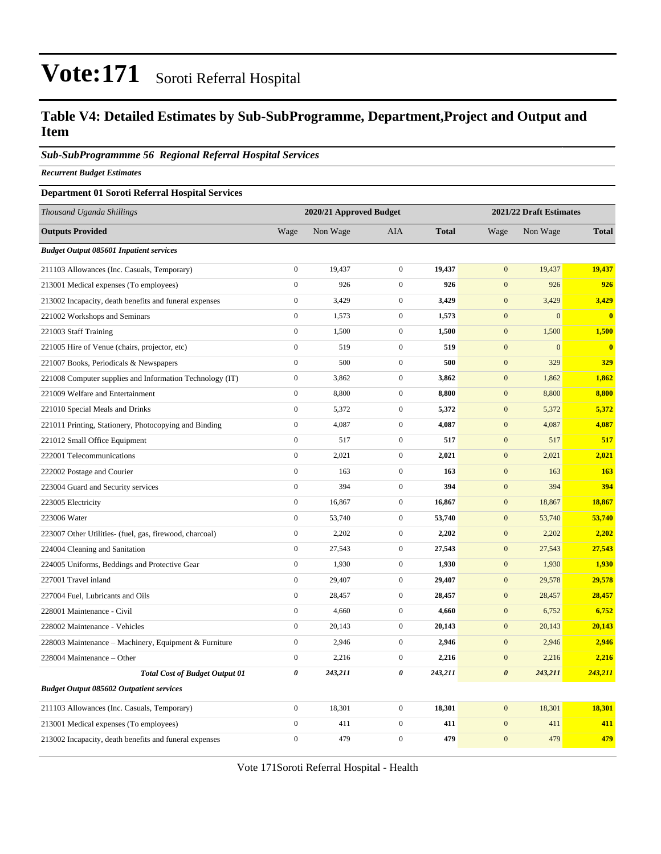### **Table V4: Detailed Estimates by Sub-SubProgramme, Department,Project and Output and Item**

#### *Sub-SubProgrammme 56 Regional Referral Hospital Services*

*Recurrent Budget Estimates*

#### **Department 01 Soroti Referral Hospital Services**

| Thousand Uganda Shillings                                |                  | 2020/21 Approved Budget |                  |              | 2021/22 Draft Estimates |              |              |
|----------------------------------------------------------|------------------|-------------------------|------------------|--------------|-------------------------|--------------|--------------|
| <b>Outputs Provided</b>                                  | Wage             | Non Wage                | <b>AIA</b>       | <b>Total</b> | Wage                    | Non Wage     | <b>Total</b> |
| <b>Budget Output 085601 Inpatient services</b>           |                  |                         |                  |              |                         |              |              |
| 211103 Allowances (Inc. Casuals, Temporary)              | $\boldsymbol{0}$ | 19,437                  | $\boldsymbol{0}$ | 19,437       | $\mathbf{0}$            | 19,437       | 19,437       |
| 213001 Medical expenses (To employees)                   | $\boldsymbol{0}$ | 926                     | $\boldsymbol{0}$ | 926          | $\mathbf{0}$            | 926          | 926          |
| 213002 Incapacity, death benefits and funeral expenses   | $\boldsymbol{0}$ | 3,429                   | $\boldsymbol{0}$ | 3,429        | $\mathbf{0}$            | 3,429        | 3,429        |
| 221002 Workshops and Seminars                            | $\boldsymbol{0}$ | 1,573                   | $\boldsymbol{0}$ | 1,573        | $\mathbf{0}$            | $\mathbf{0}$ | $\mathbf{0}$ |
| 221003 Staff Training                                    | $\boldsymbol{0}$ | 1,500                   | $\boldsymbol{0}$ | 1,500        | $\mathbf{0}$            | 1,500        | 1,500        |
| 221005 Hire of Venue (chairs, projector, etc)            | $\boldsymbol{0}$ | 519                     | $\boldsymbol{0}$ | 519          | $\boldsymbol{0}$        | $\mathbf{0}$ | $\bf{0}$     |
| 221007 Books, Periodicals & Newspapers                   | $\boldsymbol{0}$ | 500                     | $\boldsymbol{0}$ | 500          | $\boldsymbol{0}$        | 329          | 329          |
| 221008 Computer supplies and Information Technology (IT) | $\boldsymbol{0}$ | 3,862                   | $\boldsymbol{0}$ | 3,862        | $\boldsymbol{0}$        | 1,862        | 1,862        |
| 221009 Welfare and Entertainment                         | $\boldsymbol{0}$ | 8,800                   | $\boldsymbol{0}$ | 8,800        | $\boldsymbol{0}$        | 8,800        | 8,800        |
| 221010 Special Meals and Drinks                          | $\boldsymbol{0}$ | 5,372                   | $\boldsymbol{0}$ | 5,372        | $\boldsymbol{0}$        | 5,372        | 5,372        |
| 221011 Printing, Stationery, Photocopying and Binding    | $\boldsymbol{0}$ | 4,087                   | $\boldsymbol{0}$ | 4,087        | $\mathbf{0}$            | 4,087        | 4,087        |
| 221012 Small Office Equipment                            | $\overline{0}$   | 517                     | $\mathbf{0}$     | 517          | $\boldsymbol{0}$        | 517          | 517          |
| 222001 Telecommunications                                | $\boldsymbol{0}$ | 2,021                   | $\boldsymbol{0}$ | 2,021        | $\mathbf{0}$            | 2,021        | 2,021        |
| 222002 Postage and Courier                               | $\boldsymbol{0}$ | 163                     | $\boldsymbol{0}$ | 163          | $\boldsymbol{0}$        | 163          | 163          |
| 223004 Guard and Security services                       | $\boldsymbol{0}$ | 394                     | $\boldsymbol{0}$ | 394          | $\mathbf{0}$            | 394          | 394          |
| 223005 Electricity                                       | $\overline{0}$   | 16,867                  | $\boldsymbol{0}$ | 16,867       | $\boldsymbol{0}$        | 18,867       | 18,867       |
| 223006 Water                                             | $\boldsymbol{0}$ | 53,740                  | $\boldsymbol{0}$ | 53,740       | $\boldsymbol{0}$        | 53,740       | 53,740       |
| 223007 Other Utilities- (fuel, gas, firewood, charcoal)  | $\boldsymbol{0}$ | 2,202                   | $\boldsymbol{0}$ | 2,202        | $\mathbf{0}$            | 2,202        | 2,202        |
| 224004 Cleaning and Sanitation                           | $\boldsymbol{0}$ | 27,543                  | $\boldsymbol{0}$ | 27,543       | $\mathbf{0}$            | 27,543       | 27,543       |
| 224005 Uniforms, Beddings and Protective Gear            | $\boldsymbol{0}$ | 1,930                   | $\boldsymbol{0}$ | 1,930        | $\boldsymbol{0}$        | 1,930        | 1,930        |
| 227001 Travel inland                                     | $\boldsymbol{0}$ | 29,407                  | $\boldsymbol{0}$ | 29,407       | $\mathbf{0}$            | 29,578       | 29,578       |
| 227004 Fuel, Lubricants and Oils                         | $\boldsymbol{0}$ | 28,457                  | $\boldsymbol{0}$ | 28,457       | $\boldsymbol{0}$        | 28,457       | 28,457       |
| 228001 Maintenance - Civil                               | $\overline{0}$   | 4,660                   | $\boldsymbol{0}$ | 4,660        | $\mathbf{0}$            | 6,752        | 6,752        |
| 228002 Maintenance - Vehicles                            | $\boldsymbol{0}$ | 20,143                  | $\boldsymbol{0}$ | 20,143       | $\boldsymbol{0}$        | 20,143       | 20,143       |
| 228003 Maintenance - Machinery, Equipment & Furniture    | $\boldsymbol{0}$ | 2,946                   | $\boldsymbol{0}$ | 2,946        | $\boldsymbol{0}$        | 2,946        | 2,946        |
| 228004 Maintenance - Other                               | $\boldsymbol{0}$ | 2,216                   | $\boldsymbol{0}$ | 2,216        | $\boldsymbol{0}$        | 2,216        | 2,216        |
| <b>Total Cost of Budget Output 01</b>                    | 0                | 243,211                 | 0                | 243,211      | $\boldsymbol{\theta}$   | 243,211      | 243,211      |
| <b>Budget Output 085602 Outpatient services</b>          |                  |                         |                  |              |                         |              |              |
| 211103 Allowances (Inc. Casuals, Temporary)              | $\overline{0}$   | 18,301                  | $\boldsymbol{0}$ | 18,301       | $\boldsymbol{0}$        | 18,301       | 18,301       |
| 213001 Medical expenses (To employees)                   | $\boldsymbol{0}$ | 411                     | $\boldsymbol{0}$ | 411          | $\boldsymbol{0}$        | 411          | 411          |
| 213002 Incapacity, death benefits and funeral expenses   | $\overline{0}$   | 479                     | $\mathbf{0}$     | 479          | $\mathbf{0}$            | 479          | 479          |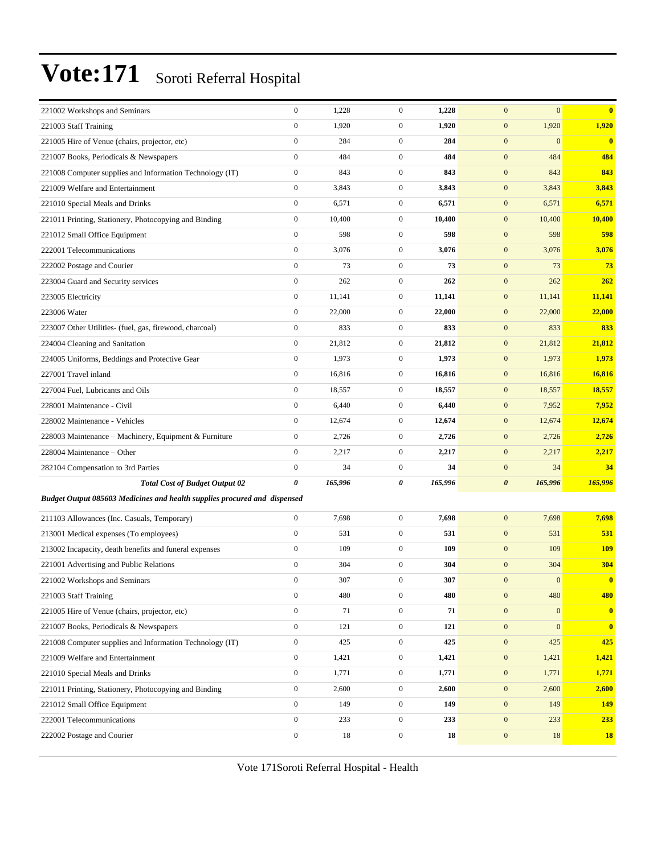| 221002 Workshops and Seminars                                             | $\boldsymbol{0}$ | 1,228   | $\mathbf{0}$     | 1,228   | $\mathbf{0}$<br>$\mathbf{0}$     | $\mathbf{0}$   |
|---------------------------------------------------------------------------|------------------|---------|------------------|---------|----------------------------------|----------------|
| 221003 Staff Training                                                     | $\boldsymbol{0}$ | 1,920   | $\boldsymbol{0}$ | 1,920   | 1,920<br>$\boldsymbol{0}$        | 1,920          |
| 221005 Hire of Venue (chairs, projector, etc)                             | $\boldsymbol{0}$ | 284     | $\mathbf{0}$     | 284     | $\mathbf{0}$<br>$\mathbf{0}$     | $\bf{0}$       |
| 221007 Books, Periodicals & Newspapers                                    | $\mathbf{0}$     | 484     | $\boldsymbol{0}$ | 484     | $\mathbf{0}$<br>484              | 484            |
| 221008 Computer supplies and Information Technology (IT)                  | $\boldsymbol{0}$ | 843     | $\boldsymbol{0}$ | 843     | $\boldsymbol{0}$<br>843          | 843            |
| 221009 Welfare and Entertainment                                          | $\boldsymbol{0}$ | 3,843   | $\mathbf{0}$     | 3,843   | $\boldsymbol{0}$<br>3,843        | 3,843          |
| 221010 Special Meals and Drinks                                           | $\boldsymbol{0}$ | 6,571   | $\mathbf{0}$     | 6,571   | $\boldsymbol{0}$<br>6,571        | 6,571          |
| 221011 Printing, Stationery, Photocopying and Binding                     | $\boldsymbol{0}$ | 10,400  | $\mathbf{0}$     | 10,400  | $\mathbf{0}$<br>10,400           | 10,400         |
| 221012 Small Office Equipment                                             | $\boldsymbol{0}$ | 598     | $\boldsymbol{0}$ | 598     | $\boldsymbol{0}$<br>598          | 598            |
| 222001 Telecommunications                                                 | $\boldsymbol{0}$ | 3,076   | $\mathbf{0}$     | 3,076   | $\boldsymbol{0}$<br>3,076        | 3,076          |
| 222002 Postage and Courier                                                | $\boldsymbol{0}$ | 73      | $\mathbf{0}$     | 73      | $\boldsymbol{0}$<br>73           | 73             |
| 223004 Guard and Security services                                        | $\boldsymbol{0}$ | 262     | $\mathbf{0}$     | 262     | $\boldsymbol{0}$<br>262          | 262            |
| 223005 Electricity                                                        | $\boldsymbol{0}$ | 11,141  | $\mathbf{0}$     | 11,141  | $\mathbf{0}$<br>11,141           | 11,141         |
| 223006 Water                                                              | $\boldsymbol{0}$ | 22,000  | $\mathbf{0}$     | 22,000  | $\boldsymbol{0}$<br>22,000       | 22,000         |
| 223007 Other Utilities- (fuel, gas, firewood, charcoal)                   | $\boldsymbol{0}$ | 833     | $\boldsymbol{0}$ | 833     | $\boldsymbol{0}$<br>833          | 833            |
| 224004 Cleaning and Sanitation                                            | $\boldsymbol{0}$ | 21,812  | $\mathbf{0}$     | 21,812  | $\boldsymbol{0}$<br>21,812       | 21,812         |
| 224005 Uniforms, Beddings and Protective Gear                             | $\boldsymbol{0}$ | 1,973   | $\mathbf{0}$     | 1,973   | $\mathbf{0}$<br>1,973            | 1,973          |
| 227001 Travel inland                                                      | $\boldsymbol{0}$ | 16,816  | $\mathbf{0}$     | 16,816  | $\mathbf{0}$<br>16,816           | 16,816         |
| 227004 Fuel, Lubricants and Oils                                          | $\boldsymbol{0}$ | 18,557  | $\mathbf{0}$     | 18,557  | $\boldsymbol{0}$<br>18,557       | 18,557         |
| 228001 Maintenance - Civil                                                | $\boldsymbol{0}$ | 6,440   | $\mathbf{0}$     | 6,440   | $\boldsymbol{0}$<br>7,952        | 7,952          |
| 228002 Maintenance - Vehicles                                             | $\boldsymbol{0}$ | 12,674  | $\mathbf{0}$     | 12,674  | $\boldsymbol{0}$<br>12,674       | 12,674         |
| 228003 Maintenance – Machinery, Equipment & Furniture                     | $\boldsymbol{0}$ | 2,726   | $\mathbf{0}$     | 2,726   | $\mathbf{0}$<br>2,726            | 2,726          |
| 228004 Maintenance - Other                                                | $\boldsymbol{0}$ | 2,217   | $\mathbf{0}$     | 2,217   | $\mathbf{0}$<br>2,217            | 2,217          |
| 282104 Compensation to 3rd Parties                                        | $\boldsymbol{0}$ | 34      | $\boldsymbol{0}$ | 34      | $\boldsymbol{0}$<br>34           | 34             |
| <b>Total Cost of Budget Output 02</b>                                     | 0                | 165,996 | 0                | 165,996 | 165,996<br>$\boldsymbol{\theta}$ | 165,996        |
| Budget Output 085603 Medicines and health supplies procured and dispensed |                  |         |                  |         |                                  |                |
| 211103 Allowances (Inc. Casuals, Temporary)                               | $\boldsymbol{0}$ | 7,698   | $\boldsymbol{0}$ | 7,698   | $\mathbf{0}$<br>7,698            | 7,698          |
| 213001 Medical expenses (To employees)                                    | $\boldsymbol{0}$ | 531     | $\boldsymbol{0}$ | 531     | $\mathbf{0}$<br>531              | 531            |
| 213002 Incapacity, death benefits and funeral expenses                    | $\boldsymbol{0}$ | 109     | $\mathbf{0}$     | 109     | $\boldsymbol{0}$<br>109          | <b>109</b>     |
| 221001 Advertising and Public Relations                                   | $\boldsymbol{0}$ | 304     | $\mathbf{0}$     | 304     | $\boldsymbol{0}$<br>304          | 304            |
| 221002 Workshops and Seminars                                             | $\Omega$         | 307     | $\overline{0}$   | 307     | $\mathbf{0}$<br>$\mathbf{0}$     | $\overline{0}$ |
| 221003 Staff Training                                                     | $\boldsymbol{0}$ | 480     | $\boldsymbol{0}$ | 480     | $\mathbf{0}$<br>480              | 480            |
| 221005 Hire of Venue (chairs, projector, etc)                             | $\boldsymbol{0}$ | 71      | $\boldsymbol{0}$ | 71      | $\boldsymbol{0}$<br>$\mathbf{0}$ | $\bf{0}$       |
| 221007 Books, Periodicals & Newspapers                                    | $\mathbf{0}$     | 121     | $\boldsymbol{0}$ | 121     | $\boldsymbol{0}$<br>$\mathbf{0}$ | $\bf{0}$       |
| 221008 Computer supplies and Information Technology (IT)                  | $\boldsymbol{0}$ | 425     | $\boldsymbol{0}$ | 425     | $\boldsymbol{0}$<br>425          | 425            |
| 221009 Welfare and Entertainment                                          | $\boldsymbol{0}$ | 1,421   | $\boldsymbol{0}$ | 1,421   | $\mathbf{0}$<br>1,421            | 1,421          |
| 221010 Special Meals and Drinks                                           | $\mathbf{0}$     | 1,771   | $\boldsymbol{0}$ | 1,771   | $\mathbf{0}$<br>1,771            | 1,771          |
| 221011 Printing, Stationery, Photocopying and Binding                     | $\boldsymbol{0}$ | 2,600   | $\boldsymbol{0}$ | 2,600   | $\boldsymbol{0}$<br>2,600        | 2,600          |
| 221012 Small Office Equipment                                             | $\boldsymbol{0}$ | 149     | $\boldsymbol{0}$ | 149     | $\mathbf{0}$<br>149              | 149            |
| 222001 Telecommunications                                                 | $\boldsymbol{0}$ | 233     | $\boldsymbol{0}$ | 233     | $\boldsymbol{0}$<br>233          | <b>233</b>     |
| 222002 Postage and Courier                                                | $\boldsymbol{0}$ | 18      | $\boldsymbol{0}$ | 18      | $\boldsymbol{0}$<br>18           | <b>18</b>      |
|                                                                           |                  |         |                  |         |                                  |                |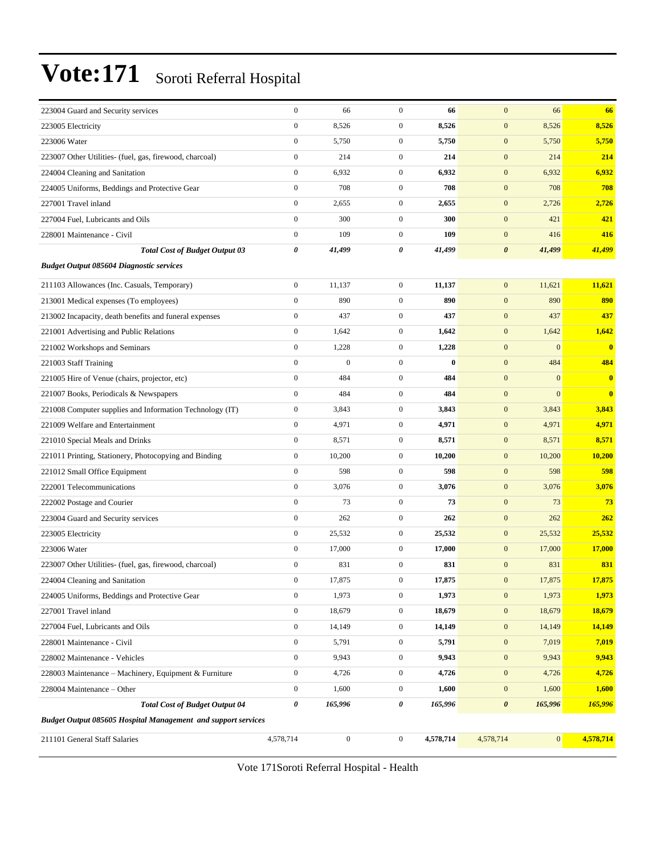| 223004 Guard and Security services                            | $\boldsymbol{0}$      | 66               | $\mathbf{0}$     | 66        | $\mathbf{0}$          | 66           | 66                      |
|---------------------------------------------------------------|-----------------------|------------------|------------------|-----------|-----------------------|--------------|-------------------------|
| 223005 Electricity                                            | $\boldsymbol{0}$      | 8,526            | $\boldsymbol{0}$ | 8,526     | $\mathbf{0}$          | 8,526        | 8,526                   |
| 223006 Water                                                  | $\boldsymbol{0}$      | 5,750            | $\boldsymbol{0}$ | 5,750     | $\mathbf{0}$          | 5,750        | 5,750                   |
| 223007 Other Utilities- (fuel, gas, firewood, charcoal)       | $\mathbf{0}$          | 214              | $\boldsymbol{0}$ | 214       | $\mathbf{0}$          | 214          | 214                     |
| 224004 Cleaning and Sanitation                                | $\boldsymbol{0}$      | 6,932            | $\boldsymbol{0}$ | 6,932     | $\mathbf{0}$          | 6,932        | 6,932                   |
| 224005 Uniforms, Beddings and Protective Gear                 | $\boldsymbol{0}$      | 708              | $\boldsymbol{0}$ | 708       | $\mathbf{0}$          | 708          | 708                     |
| 227001 Travel inland                                          | $\boldsymbol{0}$      | 2,655            | $\mathbf{0}$     | 2,655     | $\mathbf{0}$          | 2,726        | 2,726                   |
| 227004 Fuel, Lubricants and Oils                              | $\boldsymbol{0}$      | 300              | $\boldsymbol{0}$ | 300       | $\mathbf{0}$          | 421          | 421                     |
| 228001 Maintenance - Civil                                    | $\boldsymbol{0}$      | 109              | $\boldsymbol{0}$ | 109       | $\mathbf{0}$          | 416          | 416                     |
| <b>Total Cost of Budget Output 03</b>                         | $\pmb{\theta}$        | 41,499           | 0                | 41,499    | $\boldsymbol{\theta}$ | 41,499       | 41,499                  |
| <b>Budget Output 085604 Diagnostic services</b>               |                       |                  |                  |           |                       |              |                         |
| 211103 Allowances (Inc. Casuals, Temporary)                   | $\boldsymbol{0}$      | 11,137           | $\mathbf{0}$     | 11,137    | $\mathbf{0}$          | 11,621       | 11,621                  |
| 213001 Medical expenses (To employees)                        | $\mathbf{0}$          | 890              | $\boldsymbol{0}$ | 890       | $\mathbf{0}$          | 890          | 890                     |
| 213002 Incapacity, death benefits and funeral expenses        | $\boldsymbol{0}$      | 437              | $\boldsymbol{0}$ | 437       | $\mathbf{0}$          | 437          | 437                     |
| 221001 Advertising and Public Relations                       | $\boldsymbol{0}$      | 1,642            | $\boldsymbol{0}$ | 1,642     | $\mathbf{0}$          | 1,642        | 1,642                   |
| 221002 Workshops and Seminars                                 | $\boldsymbol{0}$      | 1,228            | $\mathbf{0}$     | 1,228     | $\boldsymbol{0}$      | $\mathbf{0}$ | $\overline{\mathbf{0}}$ |
| 221003 Staff Training                                         | $\boldsymbol{0}$      | $\boldsymbol{0}$ | $\boldsymbol{0}$ | $\bf{0}$  | $\mathbf{0}$          | 484          | 484                     |
| 221005 Hire of Venue (chairs, projector, etc)                 | $\mathbf{0}$          | 484              | $\boldsymbol{0}$ | 484       | $\mathbf{0}$          | $\mathbf{0}$ | $\overline{\mathbf{0}}$ |
| 221007 Books, Periodicals & Newspapers                        | $\mathbf{0}$          | 484              | $\boldsymbol{0}$ | 484       | $\mathbf{0}$          | $\mathbf{0}$ | $\bf{0}$                |
| 221008 Computer supplies and Information Technology (IT)      | $\boldsymbol{0}$      | 3,843            | $\boldsymbol{0}$ | 3,843     | $\mathbf{0}$          | 3,843        | 3,843                   |
| 221009 Welfare and Entertainment                              | $\boldsymbol{0}$      | 4,971            | $\mathbf{0}$     | 4,971     | $\mathbf{0}$          | 4,971        | 4,971                   |
| 221010 Special Meals and Drinks                               | $\boldsymbol{0}$      | 8,571            | $\boldsymbol{0}$ | 8,571     | $\mathbf{0}$          | 8,571        | 8,571                   |
| 221011 Printing, Stationery, Photocopying and Binding         | $\boldsymbol{0}$      | 10,200           | $\boldsymbol{0}$ | 10,200    | $\mathbf{0}$          | 10,200       | 10,200                  |
| 221012 Small Office Equipment                                 | $\boldsymbol{0}$      | 598              | $\boldsymbol{0}$ | 598       | $\mathbf{0}$          | 598          | 598                     |
| 222001 Telecommunications                                     | $\boldsymbol{0}$      | 3,076            | $\boldsymbol{0}$ | 3,076     | $\mathbf{0}$          | 3,076        | 3,076                   |
| 222002 Postage and Courier                                    | $\boldsymbol{0}$      | 73               | $\boldsymbol{0}$ | 73        | $\boldsymbol{0}$      | 73           | 73                      |
| 223004 Guard and Security services                            | $\boldsymbol{0}$      | 262              | $\boldsymbol{0}$ | 262       | $\mathbf{0}$          | 262          | 262                     |
| 223005 Electricity                                            | $\boldsymbol{0}$      | 25,532           | $\boldsymbol{0}$ | 25,532    | $\mathbf{0}$          | 25,532       | 25,532                  |
| 223006 Water                                                  | $\boldsymbol{0}$      | 17,000           | $\boldsymbol{0}$ | 17,000    | $\mathbf{0}$          | 17,000       | 17,000                  |
| 223007 Other Utilities- (fuel, gas, firewood, charcoal)       | $\boldsymbol{0}$      | 831              | $\boldsymbol{0}$ | 831       | $\mathbf{0}$          | 831          | 831                     |
| 224004 Cleaning and Sanitation                                | $\Omega$              | 17,875           | $\Omega$         | 17,875    | $\mathbf{0}$          | 17,875       | 17,875                  |
| 224005 Uniforms, Beddings and Protective Gear                 | $\boldsymbol{0}$      | 1,973            | $\boldsymbol{0}$ | 1,973     | $\mathbf{0}$          | 1,973        | 1,973                   |
| 227001 Travel inland                                          | $\boldsymbol{0}$      | 18,679           | $\boldsymbol{0}$ | 18,679    | $\boldsymbol{0}$      | 18,679       | 18,679                  |
| 227004 Fuel, Lubricants and Oils                              | $\boldsymbol{0}$      | 14,149           | $\boldsymbol{0}$ | 14,149    | $\boldsymbol{0}$      | 14,149       | 14,149                  |
| 228001 Maintenance - Civil                                    | $\boldsymbol{0}$      | 5,791            | $\boldsymbol{0}$ | 5,791     | $\boldsymbol{0}$      | 7,019        | 7,019                   |
| 228002 Maintenance - Vehicles                                 | $\boldsymbol{0}$      | 9,943            | $\boldsymbol{0}$ | 9,943     | $\boldsymbol{0}$      | 9,943        | 9,943                   |
| 228003 Maintenance - Machinery, Equipment & Furniture         | $\boldsymbol{0}$      | 4,726            | $\boldsymbol{0}$ | 4,726     | $\mathbf{0}$          | 4,726        | 4,726                   |
| 228004 Maintenance – Other                                    | $\boldsymbol{0}$      | 1,600            | $\boldsymbol{0}$ | 1,600     | $\boldsymbol{0}$      | 1,600        | 1,600                   |
| <b>Total Cost of Budget Output 04</b>                         | $\boldsymbol{\theta}$ | 165,996          | 0                | 165,996   | $\boldsymbol{\theta}$ | 165,996      | 165,996                 |
| Budget Output 085605 Hospital Management and support services |                       |                  |                  |           |                       |              |                         |
| 211101 General Staff Salaries                                 | 4,578,714             | $\overline{0}$   | $\boldsymbol{0}$ | 4,578,714 | 4,578,714             | 0            | 4,578,714               |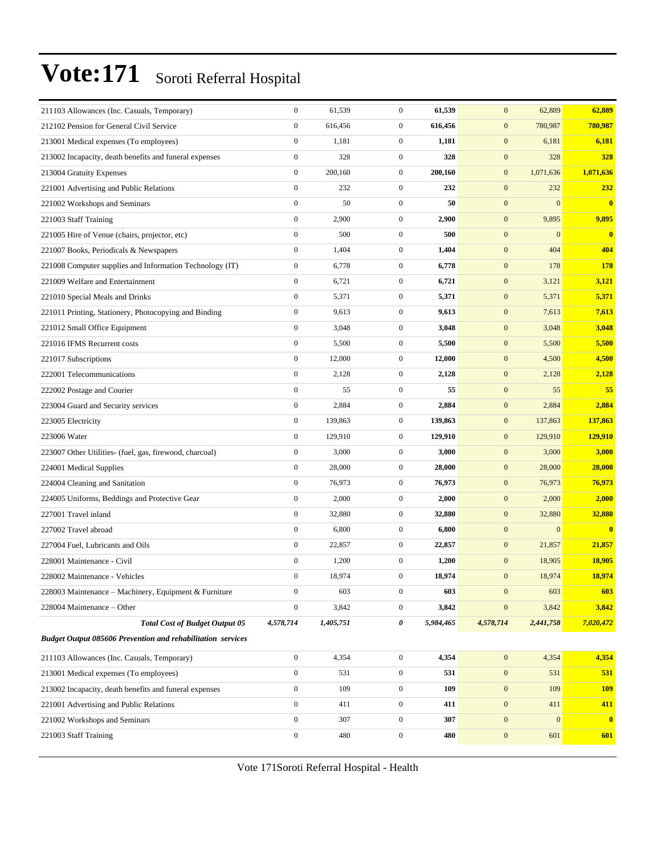| 211103 Allowances (Inc. Casuals, Temporary)                        | $\boldsymbol{0}$ | 61,539    | $\mathbf{0}$     | 61,539    | $\mathbf{0}$     | 62,889           | 62,889       |
|--------------------------------------------------------------------|------------------|-----------|------------------|-----------|------------------|------------------|--------------|
| 212102 Pension for General Civil Service                           | $\overline{0}$   | 616,456   | $\boldsymbol{0}$ | 616,456   | $\boldsymbol{0}$ | 780,987          | 780,987      |
| 213001 Medical expenses (To employees)                             | $\boldsymbol{0}$ | 1,181     | $\boldsymbol{0}$ | 1,181     | $\boldsymbol{0}$ | 6,181            | 6,181        |
| 213002 Incapacity, death benefits and funeral expenses             | $\boldsymbol{0}$ | 328       | $\boldsymbol{0}$ | 328       | $\mathbf{0}$     | 328              | 328          |
| 213004 Gratuity Expenses                                           | $\mathbf{0}$     | 200,160   | $\mathbf{0}$     | 200,160   | $\mathbf{0}$     | 1,071,636        | 1,071,636    |
| 221001 Advertising and Public Relations                            | $\overline{0}$   | 232       | $\boldsymbol{0}$ | 232       | $\mathbf{0}$     | 232              | 232          |
| 221002 Workshops and Seminars                                      | $\overline{0}$   | 50        | $\mathbf{0}$     | 50        | $\boldsymbol{0}$ | $\mathbf{0}$     | $\mathbf{0}$ |
| 221003 Staff Training                                              | $\boldsymbol{0}$ | 2,900     | $\mathbf{0}$     | 2,900     | $\boldsymbol{0}$ | 9,895            | 9,895        |
| 221005 Hire of Venue (chairs, projector, etc)                      | $\boldsymbol{0}$ | 500       | $\boldsymbol{0}$ | 500       | $\mathbf{0}$     | $\mathbf{0}$     | $\mathbf{0}$ |
| 221007 Books, Periodicals & Newspapers                             | $\boldsymbol{0}$ | 1,404     | $\mathbf{0}$     | 1,404     | $\mathbf{0}$     | 404              | 404          |
| 221008 Computer supplies and Information Technology (IT)           | $\boldsymbol{0}$ | 6,778     | $\mathbf{0}$     | 6,778     | $\mathbf{0}$     | 178              | 178          |
| 221009 Welfare and Entertainment                                   | $\overline{0}$   | 6,721     | $\overline{0}$   | 6,721     | $\mathbf{0}$     | 3,121            | 3,121        |
| 221010 Special Meals and Drinks                                    | $\boldsymbol{0}$ | 5,371     | $\boldsymbol{0}$ | 5,371     | $\boldsymbol{0}$ | 5,371            | 5,371        |
| 221011 Printing, Stationery, Photocopying and Binding              | $\boldsymbol{0}$ | 9,613     | $\boldsymbol{0}$ | 9,613     | $\mathbf{0}$     | 7,613            | 7,613        |
| 221012 Small Office Equipment                                      | $\overline{0}$   | 3,048     | $\mathbf{0}$     | 3,048     | $\mathbf{0}$     | 3,048            | 3,048        |
| 221016 IFMS Recurrent costs                                        | $\overline{0}$   | 5,500     | $\mathbf{0}$     | 5,500     | $\mathbf{0}$     | 5,500            | 5,500        |
| 221017 Subscriptions                                               | $\overline{0}$   | 12,000    | $\mathbf{0}$     | 12,000    | $\mathbf{0}$     | 4,500            | 4,500        |
| 222001 Telecommunications                                          | $\boldsymbol{0}$ | 2,128     | $\mathbf{0}$     | 2,128     | $\mathbf{0}$     | 2,128            | 2,128        |
| 222002 Postage and Courier                                         | $\boldsymbol{0}$ | 55        | $\boldsymbol{0}$ | 55        | $\mathbf{0}$     | 55               | 55           |
| 223004 Guard and Security services                                 | $\boldsymbol{0}$ | 2,884     | $\mathbf{0}$     | 2,884     | $\mathbf{0}$     | 2,884            | 2,884        |
| 223005 Electricity                                                 | $\boldsymbol{0}$ | 139,863   | $\mathbf{0}$     | 139,863   | $\mathbf{0}$     | 137,863          | 137,863      |
| 223006 Water                                                       | $\overline{0}$   | 129,910   | $\mathbf{0}$     | 129,910   | $\mathbf{0}$     | 129,910          | 129,910      |
| 223007 Other Utilities- (fuel, gas, firewood, charcoal)            | $\boldsymbol{0}$ | 3,000     | $\boldsymbol{0}$ | 3,000     | $\mathbf{0}$     | 3,000            | 3,000        |
| 224001 Medical Supplies                                            | $\overline{0}$   | 28,000    | $\boldsymbol{0}$ | 28,000    | $\mathbf{0}$     | 28,000           | 28,000       |
| 224004 Cleaning and Sanitation                                     | $\boldsymbol{0}$ | 76,973    | $\mathbf{0}$     | 76,973    | $\mathbf{0}$     | 76,973           | 76,973       |
| 224005 Uniforms, Beddings and Protective Gear                      | $\boldsymbol{0}$ | 2,000     | $\mathbf{0}$     | 2,000     | $\mathbf{0}$     | 2,000            | 2,000        |
| 227001 Travel inland                                               | $\boldsymbol{0}$ | 32,880    | $\mathbf{0}$     | 32,880    | $\boldsymbol{0}$ | 32,880           | 32,880       |
| 227002 Travel abroad                                               | $\boldsymbol{0}$ | 6,800     | $\boldsymbol{0}$ | 6,800     | $\boldsymbol{0}$ | $\mathbf{0}$     | $\mathbf{0}$ |
| 227004 Fuel, Lubricants and Oils                                   | $\boldsymbol{0}$ | 22,857    | $\boldsymbol{0}$ | 22,857    | $\mathbf{0}$     | 21,857           | 21,857       |
| 228001 Maintenance - Civil                                         | $\boldsymbol{0}$ | 1,200     | $\mathbf{0}$     | 1,200     | $\mathbf{0}$     | 18,905           | 18,905       |
| 228002 Maintenance - Vehicles                                      | $\boldsymbol{0}$ | 18,974    | $\mathbf{0}$     | 18,974    | $\mathbf{0}$     | 18,974           | 18,974       |
| 228003 Maintenance - Machinery, Equipment & Furniture              | $\boldsymbol{0}$ | 603       | $\overline{0}$   | 603       | $\boldsymbol{0}$ | 603              | 603          |
| 228004 Maintenance - Other                                         | $\boldsymbol{0}$ | 3,842     | $\mathbf{0}$     | 3,842     | $\mathbf{0}$     | 3,842            | 3,842        |
| <b>Total Cost of Budget Output 05</b>                              | 4,578,714        | 1,405,751 | 0                | 5,984,465 | 4,578,714        | 2,441,758        | 7,020,472    |
| <b>Budget Output 085606 Prevention and rehabilitation services</b> |                  |           |                  |           |                  |                  |              |
| 211103 Allowances (Inc. Casuals, Temporary)                        | $\boldsymbol{0}$ | 4,354     | $\boldsymbol{0}$ | 4,354     | $\mathbf{0}$     | 4,354            | 4,354        |
| 213001 Medical expenses (To employees)                             | $\boldsymbol{0}$ | 531       | $\mathbf{0}$     | 531       | $\mathbf{0}$     | 531              | 531          |
| 213002 Incapacity, death benefits and funeral expenses             | $\boldsymbol{0}$ | 109       | $\boldsymbol{0}$ | 109       | $\boldsymbol{0}$ | 109              | <b>109</b>   |
| 221001 Advertising and Public Relations                            | $\boldsymbol{0}$ | 411       | $\boldsymbol{0}$ | 411       | $\boldsymbol{0}$ | 411              | 411          |
| 221002 Workshops and Seminars                                      | $\boldsymbol{0}$ | 307       | $\overline{0}$   | 307       | $\mathbf{0}$     | $\boldsymbol{0}$ | $\bf{0}$     |
| 221003 Staff Training                                              | $\boldsymbol{0}$ | 480       | $\mathbf{0}$     | 480       | $\boldsymbol{0}$ | 601              | 601          |
|                                                                    |                  |           |                  |           |                  |                  |              |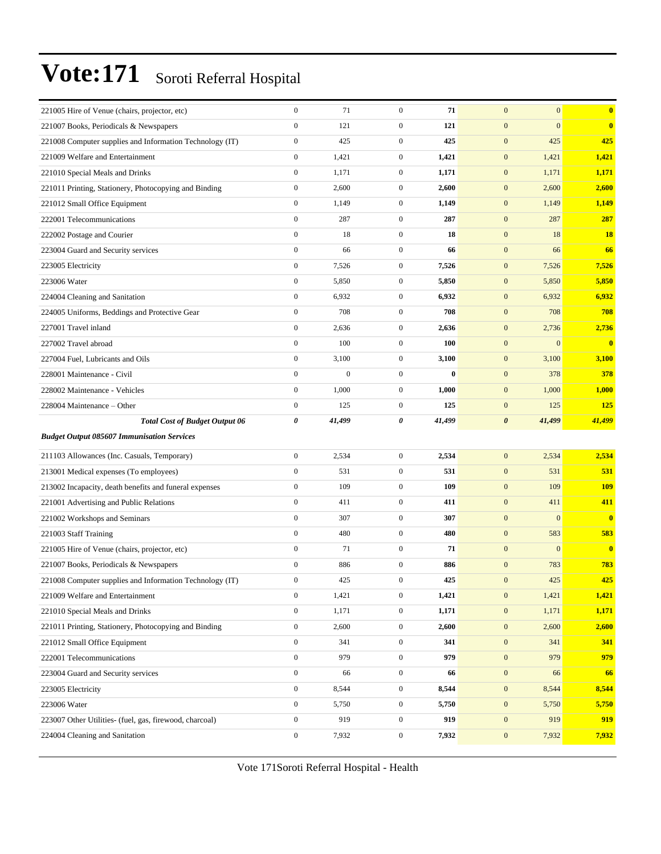| 221005 Hire of Venue (chairs, projector, etc)                            | $\boldsymbol{0}$ | 71               | $\mathbf{0}$     | 71       | $\mathbf{0}$          | $\mathbf{0}$ | $\mathbf{0}$            |
|--------------------------------------------------------------------------|------------------|------------------|------------------|----------|-----------------------|--------------|-------------------------|
| 221007 Books, Periodicals & Newspapers                                   | $\boldsymbol{0}$ | 121              | $\boldsymbol{0}$ | 121      | $\mathbf{0}$          | $\mathbf{0}$ | $\bf{0}$                |
| 221008 Computer supplies and Information Technology (IT)                 | $\boldsymbol{0}$ | 425              | $\mathbf{0}$     | 425      | $\mathbf{0}$          | 425          | 425                     |
| 221009 Welfare and Entertainment                                         | $\mathbf{0}$     | 1,421            | $\mathbf{0}$     | 1,421    | $\boldsymbol{0}$      | 1,421        | 1,421                   |
| 221010 Special Meals and Drinks                                          | $\boldsymbol{0}$ | 1,171            | $\mathbf{0}$     | 1,171    | $\mathbf{0}$          | 1,171        | 1,171                   |
| 221011 Printing, Stationery, Photocopying and Binding                    | $\boldsymbol{0}$ | 2,600            | $\boldsymbol{0}$ | 2,600    | $\mathbf{0}$          | 2,600        | 2,600                   |
| 221012 Small Office Equipment                                            | $\boldsymbol{0}$ | 1,149            | $\boldsymbol{0}$ | 1,149    | $\boldsymbol{0}$      | 1,149        | 1,149                   |
| 222001 Telecommunications                                                | $\boldsymbol{0}$ | 287              | $\boldsymbol{0}$ | 287      | $\mathbf{0}$          | 287          | 287                     |
| 222002 Postage and Courier                                               | $\boldsymbol{0}$ | 18               | $\boldsymbol{0}$ | 18       | $\mathbf{0}$          | 18           | 18                      |
| 223004 Guard and Security services                                       | $\overline{0}$   | 66               | $\overline{0}$   | 66       | $\mathbf{0}$          | 66           | 66                      |
| 223005 Electricity                                                       | $\boldsymbol{0}$ | 7,526            | $\boldsymbol{0}$ | 7,526    | $\mathbf{0}$          | 7,526        | 7,526                   |
| 223006 Water                                                             | $\boldsymbol{0}$ | 5,850            | $\boldsymbol{0}$ | 5,850    | $\boldsymbol{0}$      | 5,850        | 5,850                   |
| 224004 Cleaning and Sanitation                                           | $\boldsymbol{0}$ | 6,932            | $\mathbf{0}$     | 6,932    | $\mathbf{0}$          | 6,932        | 6,932                   |
| 224005 Uniforms, Beddings and Protective Gear                            | $\boldsymbol{0}$ | 708              | $\boldsymbol{0}$ | 708      | $\boldsymbol{0}$      | 708          | 708                     |
| 227001 Travel inland                                                     | $\overline{0}$   | 2,636            | $\mathbf{0}$     | 2,636    | $\mathbf{0}$          | 2,736        | 2,736                   |
| 227002 Travel abroad                                                     | $\boldsymbol{0}$ | 100              | $\boldsymbol{0}$ | 100      | $\mathbf{0}$          | $\mathbf{0}$ | $\overline{0}$          |
| 227004 Fuel, Lubricants and Oils                                         | $\boldsymbol{0}$ | 3,100            | $\boldsymbol{0}$ | 3,100    | $\boldsymbol{0}$      | 3,100        | 3,100                   |
| 228001 Maintenance - Civil                                               | $\boldsymbol{0}$ | $\boldsymbol{0}$ | $\boldsymbol{0}$ | $\bf{0}$ | $\mathbf{0}$          | 378          | 378                     |
| 228002 Maintenance - Vehicles                                            | $\overline{0}$   | 1,000            | $\mathbf{0}$     | 1,000    | $\boldsymbol{0}$      | 1,000        | 1,000                   |
| 228004 Maintenance – Other                                               | $\boldsymbol{0}$ | 125              | $\mathbf{0}$     | 125      | $\mathbf{0}$          | 125          | 125                     |
| <b>Total Cost of Budget Output 06</b>                                    | 0                | 41,499           | 0                | 41,499   | $\boldsymbol{\theta}$ | 41,499       | 41,499                  |
| <b>Budget Output 085607 Immunisation Services</b>                        |                  |                  |                  |          |                       |              |                         |
| 211103 Allowances (Inc. Casuals, Temporary)                              | $\boldsymbol{0}$ | 2,534            | $\boldsymbol{0}$ | 2,534    | $\mathbf{0}$          | 2,534        | 2,534                   |
|                                                                          |                  |                  |                  |          |                       |              |                         |
|                                                                          | $\boldsymbol{0}$ | 531              | $\boldsymbol{0}$ | 531      | $\mathbf{0}$          | 531          | 531                     |
| 213001 Medical expenses (To employees)                                   | $\overline{0}$   | 109              | $\boldsymbol{0}$ | 109      | $\mathbf{0}$          | 109          | <b>109</b>              |
| 213002 Incapacity, death benefits and funeral expenses                   | $\mathbf{0}$     | 411              | $\mathbf{0}$     | 411      | $\mathbf{0}$          | 411          | 411                     |
| 221001 Advertising and Public Relations<br>221002 Workshops and Seminars | $\boldsymbol{0}$ | 307              | $\boldsymbol{0}$ | 307      | $\mathbf{0}$          | $\mathbf{0}$ | $\mathbf{0}$            |
| 221003 Staff Training                                                    | $\boldsymbol{0}$ | 480              | $\boldsymbol{0}$ | 480      | $\mathbf{0}$          | 583          | 583                     |
| 221005 Hire of Venue (chairs, projector, etc)                            | $\boldsymbol{0}$ | 71               | $\boldsymbol{0}$ | 71       | $\mathbf{0}$          | $\mathbf{0}$ | $\overline{\mathbf{0}}$ |
| 221007 Books, Periodicals & Newspapers                                   | $\boldsymbol{0}$ | 886              | $\boldsymbol{0}$ | 886      | $\mathbf{0}$          | 783          | 783                     |
| 221008 Computer supplies and Information Technology (IT)                 | $\mathbf{0}$     | 425              | $\mathbf{0}$     | 425      | $\mathbf{0}$          | 425          | 425                     |
| 221009 Welfare and Entertainment                                         | $\boldsymbol{0}$ | 1,421            | $\boldsymbol{0}$ | 1,421    | $\mathbf{0}$          | 1,421        | 1,421                   |
| 221010 Special Meals and Drinks                                          | $\boldsymbol{0}$ | 1,171            | $\boldsymbol{0}$ | 1,171    | $\boldsymbol{0}$      | 1,171        | 1,171                   |
| 221011 Printing, Stationery, Photocopying and Binding                    | $\boldsymbol{0}$ | 2,600            | $\boldsymbol{0}$ | 2,600    | $\mathbf{0}$          | 2,600        | 2,600                   |
| 221012 Small Office Equipment                                            | $\boldsymbol{0}$ | 341              | $\boldsymbol{0}$ | 341      | $\boldsymbol{0}$      | 341          | 341                     |
| 222001 Telecommunications                                                | $\mathbf{0}$     | 979              | $\boldsymbol{0}$ | 979      | $\boldsymbol{0}$      | 979          | 979                     |
| 223004 Guard and Security services                                       | $\boldsymbol{0}$ | 66               | $\mathbf{0}$     | 66       | $\boldsymbol{0}$      | 66           | 66                      |
| 223005 Electricity                                                       | $\boldsymbol{0}$ | 8,544            | $\boldsymbol{0}$ | 8,544    | $\boldsymbol{0}$      | 8,544        | 8,544                   |
| 223006 Water                                                             | $\boldsymbol{0}$ | 5,750            | $\boldsymbol{0}$ | 5,750    | $\mathbf{0}$          | 5,750        | 5,750                   |
| 223007 Other Utilities- (fuel, gas, firewood, charcoal)                  | $\boldsymbol{0}$ | 919              | $\boldsymbol{0}$ | 919      | $\boldsymbol{0}$      | 919          | 919                     |
| 224004 Cleaning and Sanitation                                           | $\boldsymbol{0}$ | 7,932            | $\mathbf{0}$     | 7,932    | $\boldsymbol{0}$      | 7,932        | 7,932                   |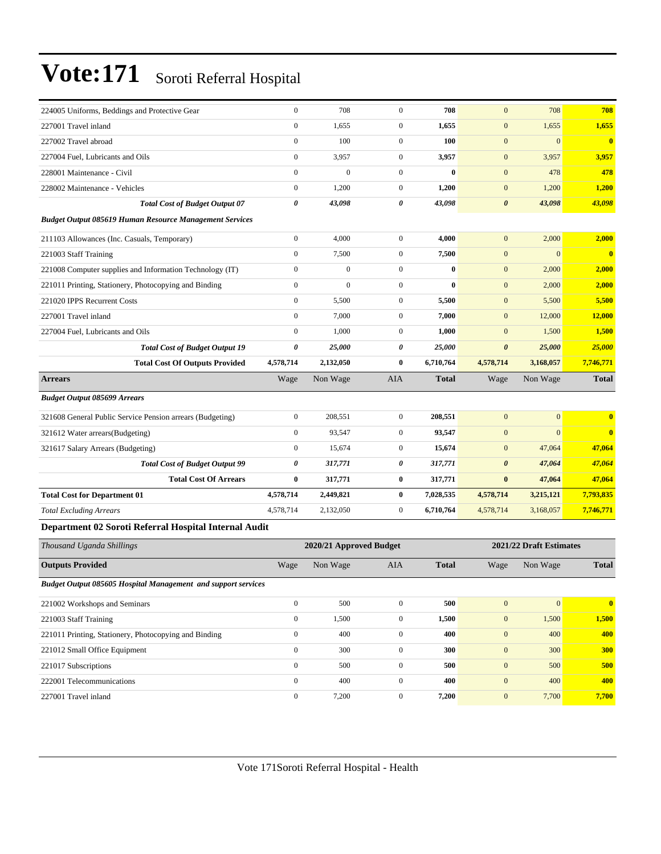| 224005 Uniforms, Beddings and Protective Gear                  | $\boldsymbol{0}$ | 708                     | $\mathbf{0}$     | 708          | $\mathbf{0}$          | 708                     | 708                     |
|----------------------------------------------------------------|------------------|-------------------------|------------------|--------------|-----------------------|-------------------------|-------------------------|
| 227001 Travel inland                                           | $\boldsymbol{0}$ | 1,655                   | $\boldsymbol{0}$ | 1,655        | $\mathbf{0}$          | 1,655                   | 1,655                   |
| 227002 Travel abroad                                           | $\boldsymbol{0}$ | 100                     | $\boldsymbol{0}$ | 100          | $\mathbf{0}$          | $\mathbf{0}$            | $\overline{\mathbf{0}}$ |
| 227004 Fuel, Lubricants and Oils                               | $\boldsymbol{0}$ | 3,957                   | $\boldsymbol{0}$ | 3,957        | $\mathbf{0}$          | 3,957                   | 3,957                   |
| 228001 Maintenance - Civil                                     | $\boldsymbol{0}$ | $\mathbf{0}$            | $\mathbf{0}$     | $\bf{0}$     | $\mathbf{0}$          | 478                     | 478                     |
| 228002 Maintenance - Vehicles                                  | $\boldsymbol{0}$ | 1,200                   | $\boldsymbol{0}$ | 1,200        | $\mathbf{0}$          | 1,200                   | 1,200                   |
| <b>Total Cost of Budget Output 07</b>                          | $\pmb{\theta}$   | 43,098                  | 0                | 43,098       | $\boldsymbol{\theta}$ | 43,098                  | 43,098                  |
| <b>Budget Output 085619 Human Resource Management Services</b> |                  |                         |                  |              |                       |                         |                         |
| 211103 Allowances (Inc. Casuals, Temporary)                    | $\boldsymbol{0}$ | 4,000                   | $\boldsymbol{0}$ | 4,000        | $\mathbf{0}$          | 2,000                   | 2,000                   |
| 221003 Staff Training                                          | $\boldsymbol{0}$ | 7,500                   | $\boldsymbol{0}$ | 7,500        | $\mathbf{0}$          | $\mathbf{0}$            | $\bf{0}$                |
| 221008 Computer supplies and Information Technology (IT)       | $\boldsymbol{0}$ | $\boldsymbol{0}$        | $\mathbf{0}$     | $\bf{0}$     | $\mathbf{0}$          | 2,000                   | 2,000                   |
| 221011 Printing, Stationery, Photocopying and Binding          | $\boldsymbol{0}$ | $\boldsymbol{0}$        | $\boldsymbol{0}$ | $\bf{0}$     | $\mathbf{0}$          | 2,000                   | 2,000                   |
| 221020 IPPS Recurrent Costs                                    | $\mathbf{0}$     | 5,500                   | $\boldsymbol{0}$ | 5,500        | $\mathbf{0}$          | 5,500                   | 5,500                   |
| 227001 Travel inland                                           | $\boldsymbol{0}$ | 7,000                   | $\boldsymbol{0}$ | 7,000        | $\mathbf{0}$          | 12,000                  | 12,000                  |
| 227004 Fuel, Lubricants and Oils                               | $\mathbf{0}$     | 1,000                   | $\boldsymbol{0}$ | 1,000        | $\mathbf{0}$          | 1,500                   | 1,500                   |
| <b>Total Cost of Budget Output 19</b>                          | 0                | 25,000                  | 0                | 25,000       | $\boldsymbol{\theta}$ | 25,000                  | 25,000                  |
| <b>Total Cost Of Outputs Provided</b>                          | 4,578,714        | 2,132,050               | 0                | 6,710,764    | 4,578,714             | 3,168,057               | 7,746,771               |
| <b>Arrears</b>                                                 | Wage             | Non Wage                | <b>AIA</b>       | <b>Total</b> | Wage                  | Non Wage                | <b>Total</b>            |
| <b>Budget Output 085699 Arrears</b>                            |                  |                         |                  |              |                       |                         |                         |
| 321608 General Public Service Pension arrears (Budgeting)      | $\boldsymbol{0}$ | 208,551                 | $\mathbf{0}$     | 208,551      | $\mathbf{0}$          | $\mathbf{0}$            | $\mathbf{0}$            |
| 321612 Water arrears(Budgeting)                                | $\boldsymbol{0}$ | 93,547                  | $\boldsymbol{0}$ | 93,547       | $\mathbf{0}$          | $\mathbf{0}$            | $\bf{0}$                |
| 321617 Salary Arrears (Budgeting)                              | $\boldsymbol{0}$ | 15,674                  | $\mathbf{0}$     | 15,674       | $\mathbf{0}$          | 47,064                  | 47,064                  |
| <b>Total Cost of Budget Output 99</b>                          | 0                | 317,771                 | 0                | 317,771      | $\boldsymbol{\theta}$ | 47,064                  | 47,064                  |
| <b>Total Cost Of Arrears</b>                                   | $\bf{0}$         | 317,771                 | 0                | 317,771      | $\bf{0}$              | 47,064                  | 47,064                  |
| <b>Total Cost for Department 01</b>                            | 4,578,714        | 2,449,821               | 0                | 7,028,535    | 4,578,714             | 3,215,121               | 7,793,835               |
| <b>Total Excluding Arrears</b>                                 | 4,578,714        | 2,132,050               | $\boldsymbol{0}$ | 6,710,764    | 4,578,714             | 3,168,057               | 7,746,771               |
| Department 02 Soroti Referral Hospital Internal Audit          |                  |                         |                  |              |                       |                         |                         |
| Thousand Uganda Shillings                                      |                  | 2020/21 Approved Budget |                  |              |                       | 2021/22 Draft Estimates |                         |
| <b>Outputs Provided</b>                                        | Wage             | Non Wage                | <b>AIA</b>       | <b>Total</b> | Wage                  | Non Wage                | <b>Total</b>            |
| Budget Output 085605 Hospital Management and support services  |                  |                         |                  |              |                       |                         |                         |
| 221002 Workshops and Seminars                                  | $\boldsymbol{0}$ | 500                     | $\mathbf{0}$     | 500          | $\boldsymbol{0}$      | $\mathbf{0}$            | $\overline{\mathbf{0}}$ |
| 221003 Staff Training                                          | $\boldsymbol{0}$ | 1,500                   | $\boldsymbol{0}$ | 1,500        | $\boldsymbol{0}$      | 1,500                   | 1,500                   |
| 221011 Printing, Stationery, Photocopying and Binding          | $\boldsymbol{0}$ | 400                     | $\boldsymbol{0}$ | 400          | $\mathbf{0}$          | 400                     | 400                     |
| 221012 Small Office Equipment                                  | $\boldsymbol{0}$ | 300                     | $\boldsymbol{0}$ | 300          | $\boldsymbol{0}$      | 300                     | 300                     |
| 221017 Subscriptions                                           | $\boldsymbol{0}$ | 500                     | $\boldsymbol{0}$ | 500          | $\mathbf{0}$          | 500                     | 500                     |
| 222001 Telecommunications                                      | $\boldsymbol{0}$ | 400                     | $\boldsymbol{0}$ | 400          | $\boldsymbol{0}$      | 400                     | 400                     |
| 227001 Travel inland                                           | $\boldsymbol{0}$ | 7,200                   | $\overline{0}$   | 7,200        | $\boldsymbol{0}$      | 7,700                   | 7,700                   |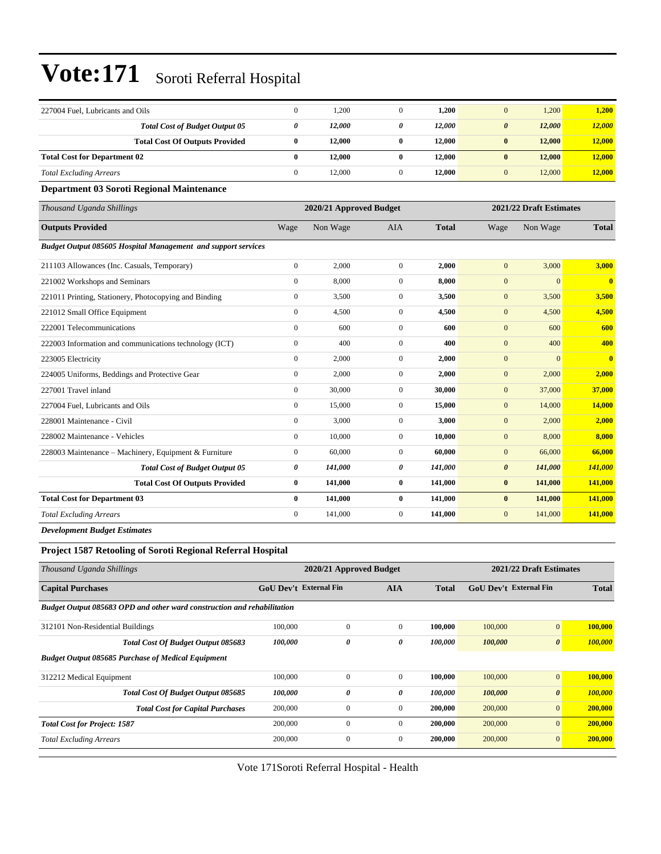| 227004 Fuel, Lubricants and Oils                              | $\boldsymbol{0}$      | 1,200                   | $\mathbf{0}$     | 1,200        | $\mathbf{0}$          | 1,200                   | 1,200                   |
|---------------------------------------------------------------|-----------------------|-------------------------|------------------|--------------|-----------------------|-------------------------|-------------------------|
| <b>Total Cost of Budget Output 05</b>                         | $\boldsymbol{\theta}$ | 12,000                  | 0                | 12,000       | $\boldsymbol{\theta}$ | 12,000                  | 12,000                  |
| <b>Total Cost Of Outputs Provided</b>                         | $\bf{0}$              | 12,000                  | $\bf{0}$         | 12,000       | $\bf{0}$              | 12,000                  | 12,000                  |
| <b>Total Cost for Department 02</b>                           | $\bf{0}$              | 12,000                  | $\bf{0}$         | 12,000       | $\bf{0}$              | 12,000                  | 12,000                  |
| <b>Total Excluding Arrears</b>                                | $\mathbf{0}$          | 12,000                  | $\overline{0}$   | 12,000       | $\mathbf{0}$          | 12,000                  | 12,000                  |
| Department 03 Soroti Regional Maintenance                     |                       |                         |                  |              |                       |                         |                         |
| Thousand Uganda Shillings                                     |                       | 2020/21 Approved Budget |                  |              |                       | 2021/22 Draft Estimates |                         |
| <b>Outputs Provided</b>                                       | Wage                  | Non Wage                | <b>AIA</b>       | <b>Total</b> | Wage                  | Non Wage                | <b>Total</b>            |
| Budget Output 085605 Hospital Management and support services |                       |                         |                  |              |                       |                         |                         |
| 211103 Allowances (Inc. Casuals, Temporary)                   | $\mathbf{0}$          | 2,000                   | $\mathbf{0}$     | 2,000        | $\mathbf{0}$          | 3,000                   | 3,000                   |
| 221002 Workshops and Seminars                                 | $\mathbf{0}$          | 8,000                   | $\overline{0}$   | 8,000        | $\mathbf{0}$          | $\mathbf{0}$            | $\overline{\mathbf{0}}$ |
| 221011 Printing, Stationery, Photocopying and Binding         | $\boldsymbol{0}$      | 3,500                   | $\mathbf{0}$     | 3,500        | $\mathbf{0}$          | 3,500                   | 3,500                   |
| 221012 Small Office Equipment                                 | $\mathbf{0}$          | 4,500                   | $\mathbf{0}$     | 4,500        | $\mathbf{0}$          | 4,500                   | 4,500                   |
| 222001 Telecommunications                                     | $\boldsymbol{0}$      | 600                     | $\overline{0}$   | 600          | $\mathbf{0}$          | 600                     | 600                     |
| 222003 Information and communications technology (ICT)        | $\mathbf{0}$          | 400                     | $\overline{0}$   | 400          | $\mathbf{0}$          | 400                     | 400                     |
| 223005 Electricity                                            | $\mathbf{0}$          | 2,000                   | $\mathbf{0}$     | 2,000        | $\mathbf{0}$          | $\mathbf{0}$            | $\overline{\mathbf{0}}$ |
| 224005 Uniforms, Beddings and Protective Gear                 | $\mathbf{0}$          | 2,000                   | $\overline{0}$   | 2,000        | $\mathbf{0}$          | 2,000                   | 2,000                   |
| 227001 Travel inland                                          | $\mathbf{0}$          | 30,000                  | $\mathbf{0}$     | 30,000       | $\mathbf{0}$          | 37,000                  | 37,000                  |
| 227004 Fuel, Lubricants and Oils                              | $\boldsymbol{0}$      | 15,000                  | $\boldsymbol{0}$ | 15,000       | $\boldsymbol{0}$      | 14,000                  | 14,000                  |
| 228001 Maintenance - Civil                                    | $\mathbf{0}$          | 3,000                   | $\overline{0}$   | 3,000        | $\mathbf{0}$          | 2,000                   | 2,000                   |
| 228002 Maintenance - Vehicles                                 | $\mathbf{0}$          | 10,000                  | $\overline{0}$   | 10,000       | $\mathbf{0}$          | 8,000                   | 8,000                   |
| 228003 Maintenance - Machinery, Equipment & Furniture         | $\mathbf{0}$          | 60,000                  | $\overline{0}$   | 60,000       | $\mathbf{0}$          | 66,000                  | 66,000                  |
| <b>Total Cost of Budget Output 05</b>                         | 0                     | 141,000                 | 0                | 141,000      | $\boldsymbol{\theta}$ | 141,000                 | 141,000                 |
| <b>Total Cost Of Outputs Provided</b>                         | $\bf{0}$              | 141,000                 | $\bf{0}$         | 141,000      | $\bf{0}$              | 141,000                 | 141,000                 |
| <b>Total Cost for Department 03</b>                           | $\bf{0}$              | 141,000                 | $\bf{0}$         | 141,000      | $\bf{0}$              | 141,000                 | 141,000                 |
| <b>Total Excluding Arrears</b>                                | $\mathbf{0}$          | 141,000                 | $\overline{0}$   | 141,000      | $\mathbf{0}$          | 141,000                 | 141,000                 |
| <b>Development Budget Estimates</b>                           |                       |                         |                  |              |                       |                         |                         |

### **Project 1587 Retooling of Soroti Regional Referral Hospital**

| Thousand Uganda Shillings                                               | 2021/22 Draft Estimates<br>2020/21 Approved Budget |                       |              |              |                               |                       |              |
|-------------------------------------------------------------------------|----------------------------------------------------|-----------------------|--------------|--------------|-------------------------------|-----------------------|--------------|
| <b>Capital Purchases</b>                                                | <b>GoU Dev't External Fin</b>                      |                       | <b>AIA</b>   | <b>Total</b> | <b>GoU Dev't External Fin</b> |                       | <b>Total</b> |
| Budget Output 085683 OPD and other ward construction and rehabilitation |                                                    |                       |              |              |                               |                       |              |
| 312101 Non-Residential Buildings                                        | 100,000                                            | $\mathbf{0}$          | $\Omega$     | 100.000      | 100,000                       | $\mathbf{0}$          | 100,000      |
| <b>Total Cost Of Budget Output 085683</b>                               | 100,000                                            | $\boldsymbol{\theta}$ | 0            | 100,000      | 100,000                       | $\boldsymbol{\theta}$ | 100,000      |
| <b>Budget Output 085685 Purchase of Medical Equipment</b>               |                                                    |                       |              |              |                               |                       |              |
| 312212 Medical Equipment                                                | 100,000                                            | $\mathbf{0}$          | $\mathbf{0}$ | 100,000      | 100,000                       | $\mathbf{0}$          | 100,000      |
| Total Cost Of Budget Output 085685                                      | 100,000                                            | $\boldsymbol{\theta}$ | 0            | 100,000      | 100,000                       | $\boldsymbol{\theta}$ | 100,000      |
| <b>Total Cost for Capital Purchases</b>                                 | 200,000                                            | $\mathbf{0}$          | $\mathbf{0}$ | 200,000      | 200,000                       | $\mathbf{0}$          | 200,000      |
| <b>Total Cost for Project: 1587</b>                                     | 200,000                                            | $\Omega$              | $\Omega$     | 200,000      | 200,000                       | $\mathbf{0}$          | 200,000      |
| <b>Total Excluding Arrears</b>                                          | 200,000                                            | $\mathbf{0}$          | $\Omega$     | 200,000      | 200,000                       | $\mathbf{0}$          | 200,000      |